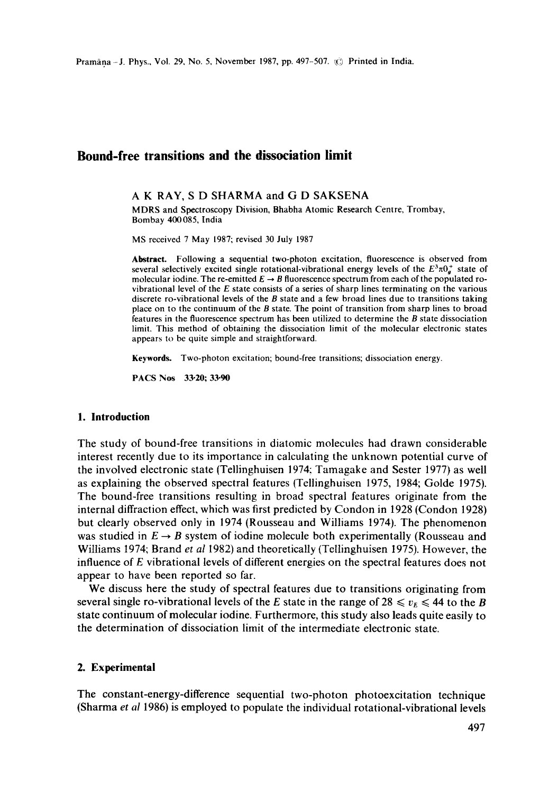# **Bound-free transitions and the dissociation limit**

#### A K RAY, S D SHARMA and G D SAKSENA

MDRS and Spectroscopy Division, Bhabha Atomic Research Centre, Trombay, Bombay 400085, India

MS received 7 May 1987; revised 30 July 1987

**Abstract.** Following a sequential two-photon excitation, fluorescence is observed from several selectively excited single rotational-vibrational energy levels of the  $E^3 \pi 0_a^+$  state of molecular iodine. The re-emitted  $E \rightarrow B$  fluorescence spectrum from each of the populated rovibrational level of the  $E$  state consists of a series of sharp lines terminating on the various discrete ro-vibrational levels of the  $B$  state and a few broad lines due to transitions taking place on to the continuum of the B state. The point of transition from sharp lines to broad features in the fluorescence spectrum has been utilized to determine the  $B$  state dissociation limit. This method of obtaining the dissociation limit of the molecular electronic states appears to be quite simple and straightforward.

**Keywords.** Two-photon excitation; bound-free transitions; dissociation energy.

PACS Nos 33.20; 33.90

#### **1. Introduction**

The study of bound-free transitions in diatomic molecules had drawn considerable interest recently due to its importance in calculating the unknown potential curve of the involved electronic state (Tellinghuisen 1974; Tamagake and Sester 1977) as well as explaining the observed spectral features (Tellinghuisen 1975, 1984; Golde 1975). The bound-free transitions resulting in broad spectral features originate from the internal diffraction effect, which was first predicted by Condon in 1928 (Condon 1928) but clearly observed only in 1974 (Rousseau and Williams 1974). The phenomenon was studied in  $E \rightarrow B$  system of iodine molecule both experimentally (Rousseau and Williams 1974; Brand *et at* 1982) and theoretically (Tellinghuisen 1975). However, the influence of E vibrational levels of different energies on the spectral features does not appear to have been reported so far.

We discuss here the study of spectral features due to transitions originating from several single ro-vibrational levels of the E state in the range of  $28 \le v_{\rm E} \le 44$  to the B state continuum of molecular iodine. Furthermore, this study also leads quite easily to the determination of dissociation limit of the intermediate electronic state.

# **2. Experimental**

The constant-energy-difference sequential two-photon photoexcitation technique (Sharma *et al* 1986) is employed to populate the individual rotational-vibrational levels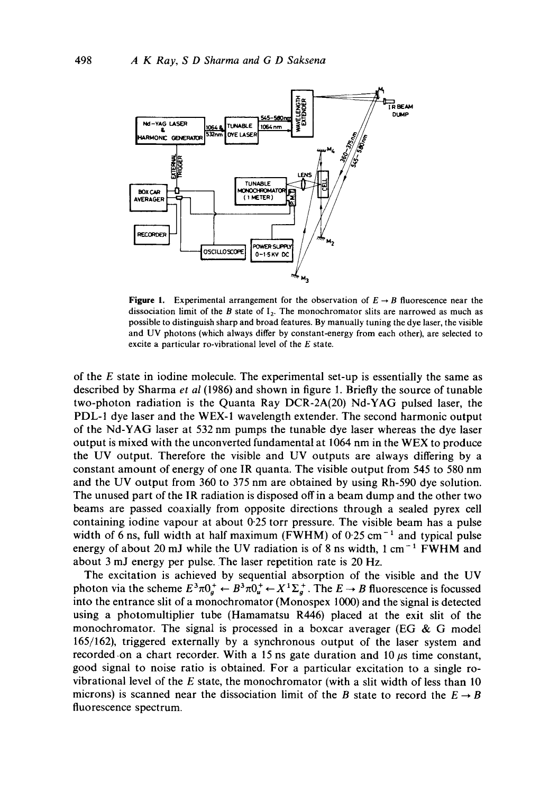

**Figure 1.** Experimental arrangement for the observation of  $E \rightarrow B$  fluorescence near the dissociation limit of the B state of  $I_2$ . The monochromator slits are narrowed as much as possible to distinguish sharp and broad features. By manually tuning the dye laser, the visible and UV photons (which always differ by constant-energy from each other), are selected to excite a particular ro-vibrational level of the E state.

of the  $E$  state in iodine molecule. The experimental set-up is essentially the same as described by Sharma *et al* (1986) and shown in figure 1. Briefly the source of tunable two-photon radiation is the Quanta Ray DCR-2A(20) Nd-YAG pulsed laser, the PDL-1 dye laser and the WEX-1 wavelength extender. The second harmonic output of the Nd-YAG laser at 532 nm pumps the tunable dye laser whereas the dye laser output is mixed with the unconverted fundamental at 1064 nm in the WEX to produce the UV output. Therefore the visible and UV outputs are always differing by a constant amount of energy of one IR quanta. The visible output from 545 to 580 nm and the UV output from 360 to 375 nm are obtained by using Rh-590 dye solution. The unused part of the IR radiation is disposed off in a beam dump and the other two beams are passed coaxially from opposite directions through a sealed pyrex cell containing iodine vapour at about 0.25 torr pressure. The visible beam has a pulse width of 6 ns, full width at half maximum (FWHM) of  $0.25 \text{ cm}^{-1}$  and typical pulse energy of about 20 mJ while the UV radiation is of 8 ns width,  $1 \text{ cm}^{-1}$  FWHM and about 3 mJ energy per pulse. The laser repetition rate is 20 Hz.

The excitation is achieved by sequential absorption of the visible and the UV photon via the scheme  $E^3\pi 0^+_g \leftarrow B^3\pi 0^+_u \leftarrow X^1\Sigma_g^+$ . The  $E \rightarrow B$  fluorescence is focussed into the entrance slit of a monochromator (Monospex 1000) and the signal is detected using a photomultiplier tube (Hamamatsu R446) placed at the exit slit of the monochromator. The signal is processed in a boxcar averager (EG & G model 165/162), triggered externally by a synchronous output of the laser system and recorded on a chart recorder. With a 15 ns gate duration and 10  $\mu$ s time constant, good signal to noise ratio is obtained. For a particular excitation to a single rovibrational level of the E state, the monochromator (with a slit width of less than 10 microns) is scanned near the dissociation limit of the B state to record the  $E \rightarrow B$ fluorescence spectrum.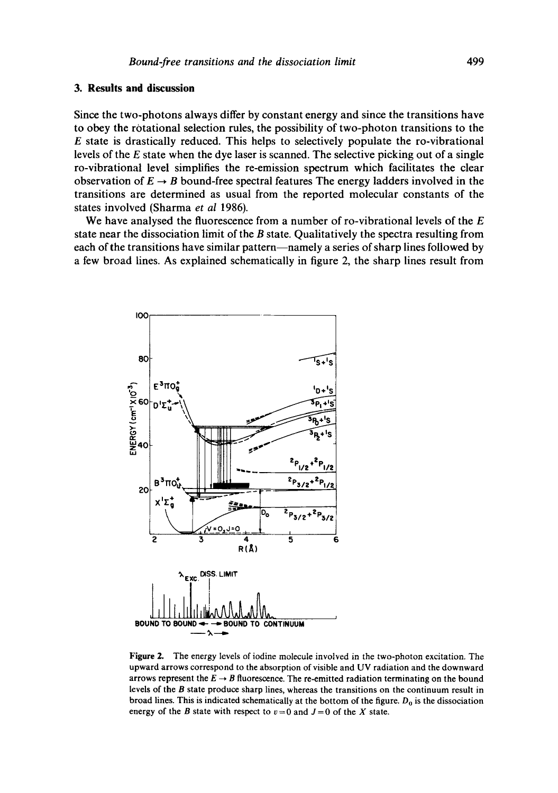# **3. Results and discussion**

Since the two-photons always differ by constant energy and since the transitions have to obey the rotational selection rules, the possibility of two-photon transitions to the E state is drastically reduced. This helps to selectively populate the ro-vibrational levels of the E state when the dye laser is scanned. The selective picking out of a single ro-vibrational level simplifies the re-emission spectrum which facilitates the clear observation of  $E \rightarrow B$  bound-free spectral features The energy ladders involved in the transitions are determined as usual from the reported molecular constants of the states involved (Sharma *et al* 1986).

We have analysed the fluorescence from a number of ro-vibrational levels of the  $E$ state near the dissociation limit of the  $B$  state. Qualitatively the spectra resulting from each of the transitions have similar pattern—namely a series of sharp lines followed by a few broad lines. As explained schematically in figure 2, the sharp lines result from



Figure 2. The energy levels of iodine molecule involved in the two-photon excitation. The upward arrows correspond to the absorption of visible and UV radiation and the downward arrows represent the  $E \rightarrow B$  fluorescence. The re-emitted radiation terminating on the bound levels of the B state produce sharp lines, whereas the transitions on the continuum result in broad lines. This is indicated schematically at the bottom of the figure.  $D<sub>0</sub>$  is the dissociation energy of the B state with respect to  $v=0$  and  $J=0$  of the X state.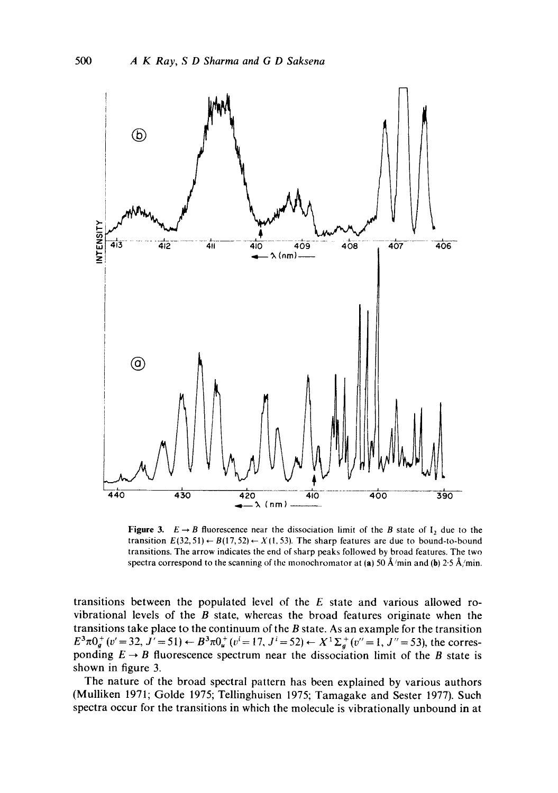

Figure 3.  $E \rightarrow B$  fluorescence near the dissociation limit of the B state of  $I_2$  due to the transition  $E(32, 51) \leftarrow B(17, 52) \leftarrow X(1, 53)$ . The sharp features are due to bound-to-bound transitions. The arrow indicates the end of sharp peaks followed by broad features. The two spectra correspond to the scanning of the monochromator at (a) 50 Å/min and (b) 2.5 Å/min.

transitions between the populated level of the E state and various allowed rovibrational levels of the  $B$  state, whereas the broad features originate when the transitions take place to the continuum of the  $B$  state. As an example for the transition  $E^3 \pi 0^+_g(v'=32, J'=51) \leftarrow B^3 \pi 0^+_u(v'=17, J'=52) \leftarrow X^1 \Sigma_g^+(v''=1, J''=53)$ , the corresponding  $E \rightarrow B$  fluorescence spectrum near the dissociation limit of the B state is shown in figure 3.

The nature of the broad spectral pattern has been explained by various authors (Mulliken 1971; Golde 1975; Tellinghuisen 1975; Tamagake and Sester 1977). Such spectra occur for the transitions in which the molecule is vibrationally unbound in at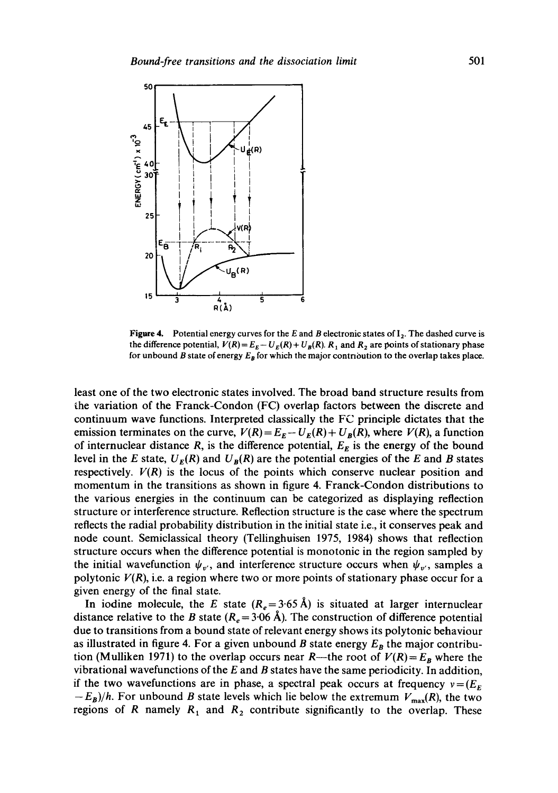

**Figure 4.** Potential energy curves for the E and B electronic states of  $I_2$ . The dashed curve is the difference potential,  $V(R) = E_E - U_E(R) + U_B(R)$ .  $R_1$  and  $R_2$  are points of stationary phase for unbound B state of energy  $E_B$  for which the major contribution to the overlap takes place.

least one of the two electronic states involved. The broad band structure results from the variation of the Franck-Condon (FC) overlap factors between the discrete and continuum wave functions. Interpreted classically the FC principle dictates that the emission terminates on the curve,  $V(R) = E_E - U_E(R) + U_B(R)$ , where  $V(R)$ , a function of internuclear distance R, is the difference potential,  $E<sub>E</sub>$  is the energy of the bound level in the E state,  $U_E(R)$  and  $U_B(R)$  are the potential energies of the E and B states respectively.  $V(R)$  is the locus of the points which conserve nuclear position and momentum in the transitions as shown in figure 4. Franck-Condon distributions to the various energies in the continuum can be categorized as displaying reflection structure or interference structure. Reflection structure is the case where the spectrum reflects the radial probability distribution in the initial state i.e., it conserves peak and node count. Semiclassical theory (Tellinghuisen 1975, 1984) shows that reflection structure occurs when the difference potential is monotonic in the region sampled by the initial wavefunction  $\psi_{v'}$ , and interference structure occurs when  $\psi_{v'}$ , samples a polytonic  $V(R)$ , i.e. a region where two or more points of stationary phase occur for a given energy of the final state.

In iodine molecule, the E state ( $R_e = 3.65$  Å) is situated at larger internuclear distance relative to the B state  $(R_e = 3.06~\text{\AA})$ . The construction of difference potential due to transitions from a bound state of relevant energy shows its polytonic behaviour as illustrated in figure 4. For a given unbound B state energy  $E_B$  the major contribution (Mulliken 1971) to the overlap occurs near R—the root of  $V(R) = E_B$  where the vibrational wavefunctions of the  $E$  and  $B$  states have the same periodicity. In addition, if the two wavefunctions are in phase, a spectral peak occurs at frequency  $v = (E_F)$  $-E_B)/h$ . For unbound *B* state levels which lie below the extremum  $V_{\text{max}}(R)$ , the two regions of R namely  $R_1$  and  $R_2$  contribute significantly to the overlap. These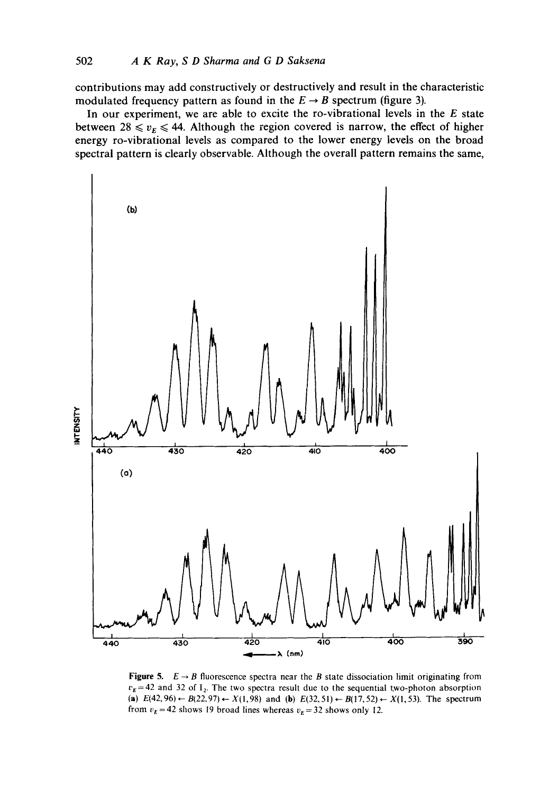contributions may add constructively or destructively and result in the characteristic modulated frequency pattern as found in the  $E \rightarrow B$  spectrum (figure 3).

In our experiment, we are able to excite the ro-vibrational levels in the  $E$  state between 28  $\leq v_E \leq 44$ . Although the region covered is narrow, the effect of higher energy ro-vibrational levels as compared to the lower energy levels on the broad spectral pattern is clearly observable. Although the overall pattern remains the same,



**Figure 5.**  $E \rightarrow B$  fluorescence spectra near the B state dissociation limit originating from  $v_E$ =42 and 32 of  $I_2$ . The two spectra result due to the sequential two-photon absorption (a)  $E(42, 96) \leftarrow B(22, 97) \leftarrow X(1, 98)$  and (b)  $E(32, 51) \leftarrow B(17, 52) \leftarrow X(1, 53)$ . The spectrum from  $v<sub>E</sub> = 42$  shows 19 broad lines whereas  $v<sub>E</sub> = 32$  shows only 12.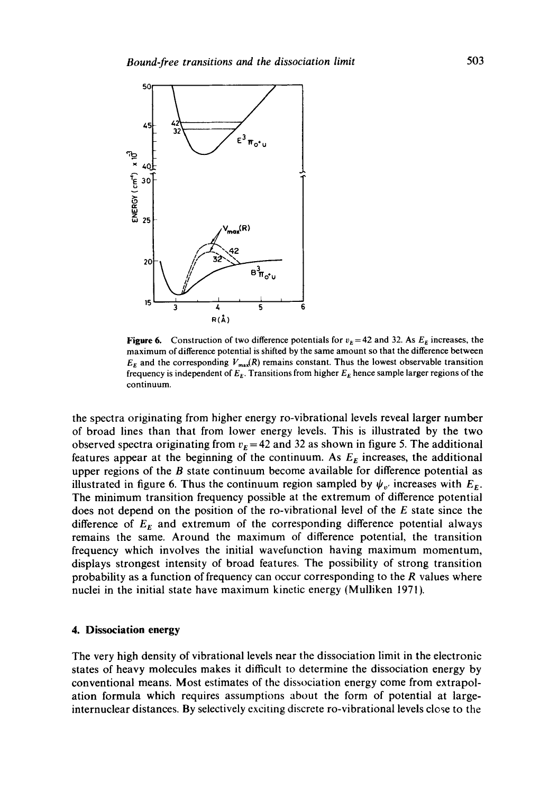

**Figure 6.** Construction of two difference potentials for  $v_E = 42$  and 32. As  $E_E$  increases, the maximum of difference potential is shifted by the same amount so that the difference between  $E<sub>E</sub>$  and the corresponding  $V<sub>max</sub>(R)$  remains constant. Thus the lowest observable transition frequency is independent of  $E_E$ . Transitions from higher  $E_E$  hence sample larger regions of the continuum.

the spectra originating from higher energy ro-vibrational levels reveal larger number of broad lines than that from lower energy levels. This is illustrated by the two observed spectra originating from  $v<sub>E</sub> = 42$  and 32 as shown in figure 5. The additional features appear at the beginning of the continuum. As  $E<sub>E</sub>$  increases, the additional upper regions of the  $B$  state continuum become available for difference potential as illustrated in figure 6. Thus the continuum region sampled by  $\psi_{v'}$  increases with  $E_{\varepsilon}$ . The minimum transition frequency possible at the extremum of difference potential does not depend on the position of the ro-vibrational level of the E state since the difference of  $E<sub>E</sub>$  and extremum of the corresponding difference potential always remains the same. Around the maximum of difference potential, the transition frequency which involves the initial wavefunction having maximum momentum, displays strongest intensity of broad features. The possibility of strong transition probability as a function of frequency can occur corresponding to the  $R$  values where nuclei in the initial state have maximum kinetic energy (Mulliken 1971).

#### **4. Dissociation energy**

The very high density of vibrational levels near the dissociation limit in the electronic states of heavy molecules makes it difficult to determine the dissociation energy by conventional means. Most estimates of the dissociation energy come from extrapolation formula which requires assumptions about the form of potential at largeinternuclear distances. By selectively exciting discrete ro-vibrational levels close to the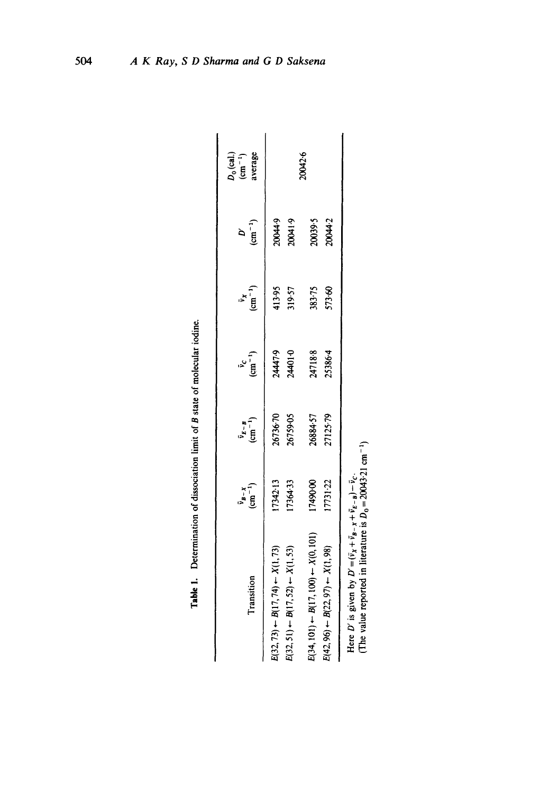| Transition                                                                                                                                                      | $\frac{\bar{v}_{B-X}}{(cm^{-1})}$ | $\begin{array}{c} \bar{v}_{E - B} \\ \text{(cm}^{-1}) \end{array}$ | $\frac{v_c}{(cm^{-1})}$ | $\bar{v}_x$<br>(cm <sup>-1</sup> ) | $\frac{D'}{(\text{cm}^{-1})}$ | $D_0$ (cal.)<br>(cm <sup>-1</sup> )<br>average |
|-----------------------------------------------------------------------------------------------------------------------------------------------------------------|-----------------------------------|--------------------------------------------------------------------|-------------------------|------------------------------------|-------------------------------|------------------------------------------------|
| $E(32, 73) \leftarrow B(17, 74) \leftarrow X(1, 73)$                                                                                                            | 7342-13                           | 26736.70<br>26759-05                                               | 24447.9                 | 413.95                             | 20044.9                       |                                                |
| $E(34, 101) \leftarrow B(17, 100) \leftarrow X(0, 101)$<br>$E(32, 51) \leftarrow B(17, 52) \leftarrow X(1, 53)$                                                 | 17490.00<br>7364-33               | 26884.57                                                           | 24718.8<br>24401-0      | 319-57<br>383-75                   | 0.1400<br>20039-5             | 20042.6                                        |
| $E(42, 96) \leftarrow B(22, 97) \leftarrow X(1, 98)$                                                                                                            | 17731-22                          | 27125.79                                                           | 25386.4                 | 573.60                             | 20044-2                       |                                                |
| (The value reported in literature is $D_0 = 20043.21 \text{ cm}^{-1}$ )<br>Here D' is given by $D' = (\bar{v}_x + \bar{v}_B - x + \bar{v}_E - B) - \bar{v}_C$ . |                                   |                                                                    |                         |                                    |                               |                                                |

| ֠ |
|---|

504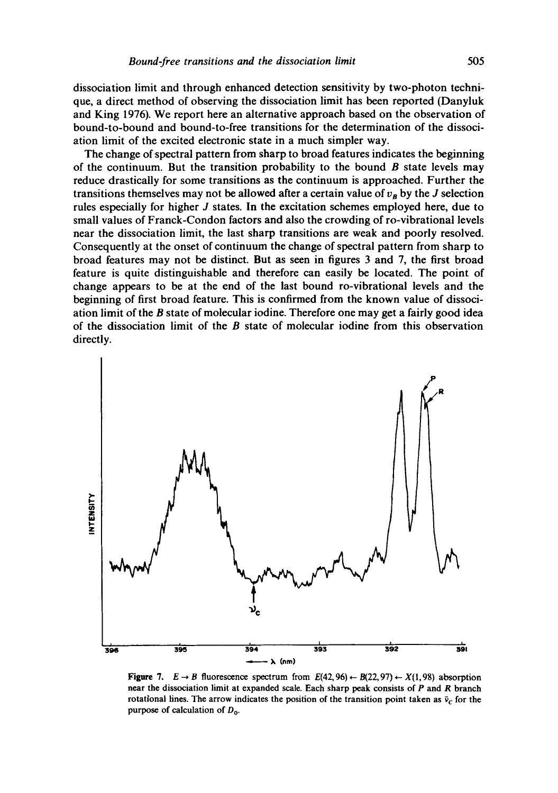dissociation limit and through enhanced detection sensitivity by two-photon technique, a direct method of observing the dissociation limit has been reported (Danyluk and King 1976). We report here an alternative approach based on the observation of bound-to-bound and bound-to-free transitions for the determination of the dissociation limit of the excited electronic state in a much simpler way.

The change of spectral pattern from sharp to broad features indicates the beginning of the continuum. But the transition probability to the bound  $\bm{B}$  state levels may reduce drastically for some transitions as the continuum is approached. Further the transitions themselves may not be allowed after a certain value of  $v_B$  by the J selection rules especially for higher J states. In the excitation schemes employed here, due to small values of Franck-Condon factors and also the crowding of ro-vibrational levels near the dissociation limit, the last sharp transitions are weak and poorly resolved. Consequently at the onset of continuum the change of spectral pattern from sharp to broad features may not be distinct. But as seen in figures 3 and 7, the first broad feature is quite distinguishable and therefore can easily be located. The point of change appears to be at the end of the last bound ro-vibrational levels and the beginning of first broad feature. This is confirmed from the known value of dissociation limit of the B state of molecular iodine. Therefore one may get a fairly good idea of the dissociation limit of the  $B$  state of molecular iodine from this observation directly.



**Figure 7.**  $E \rightarrow B$  fluorescence spectrum from  $E(42,96) \leftarrow B(22,97) \leftarrow X(1,98)$  absorption near the dissociation limit at expanded scale. Each sharp peak consists of P and R branch rotational lines. The arrow indicates the position of the transition point taken as  $\bar{v}_c$  for the purpose of calculation of  $D_0$ .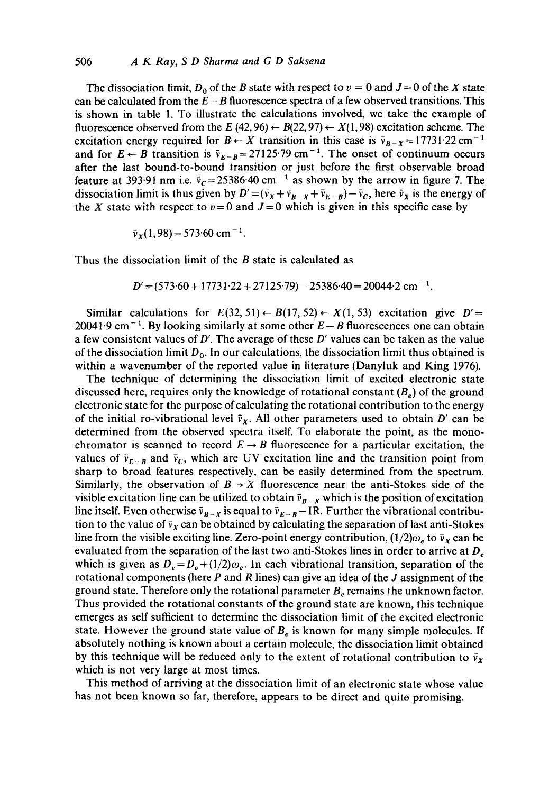#### 506 *A K Ray, S D Sharma and G D Saksena*

The dissociation limit,  $D_0$  of the B state with respect to  $v = 0$  and  $J = 0$  of the X state can be calculated from the  $E - B$  fluorescence spectra of a few observed transitions. This is shown in table 1. To illustrate the calculations involved, we take the example of fluorescence observed from the E (42, 96)  $\leftarrow B(22, 97) \leftarrow X(1, 98)$  excitation scheme. The excitation energy required for  $B \leftarrow X$  transition in this case is  $\bar{v}_{B-X} = 17731.22 \text{ cm}^{-1}$ and for  $E \leftarrow B$  transition is  $\bar{v}_{E-B} = 27125.79$  cm<sup>-1</sup>. The onset of continuum occurs after the last bound-to-bound transition or just before the first observable broad feature at 393.91 nm i.e.  $\bar{v}_c = 25386.40 \text{ cm}^{-1}$  as shown by the arrow in figure 7. The dissociation limit is thus given by  $D' = (\bar{v}_X + \bar{v}_{B-X} + \bar{v}_{E-B}) - \bar{v}_C$ , here  $\bar{v}_X$  is the energy of the X state with respect to  $v=0$  and  $J=0$  which is given in this specific case by

$$
\bar{v}_X(1,98) = 573.60 \text{ cm}^{-1}.
$$

Thus the dissociation limit of the  $B$  state is calculated as

$$
D' = (573.60 + 17731.22 + 27125.79) - 25386.40 = 20044.2
$$
 cm<sup>-1</sup>.

Similar calculations for  $E(32, 51) \leftarrow B(17, 52) \leftarrow X(1, 53)$  excitation give  $D' =$ 20041.9 cm<sup>-1</sup>. By looking similarly at some other  $E-B$  fluorescences one can obtain a few consistent values of  $D'$ . The average of these  $D'$  values can be taken as the value of the dissociation limit  $D_0$ . In our calculations, the dissociation limit thus obtained is within a wavenumber of the reported value in literature (Danyluk and King 1976).

The technique of determining the dissociation limit of excited electronic state discussed here, requires only the knowledge of rotational constant  $(B_e)$  of the ground electronic state for the purpose of calculating the rotational contribution to the energy of the initial ro-vibrational level  $\bar{v}_x$ . All other parameters used to obtain D' can be determined from the observed spectra itself. To elaborate the point, as the monochromator is scanned to record  $E \rightarrow B$  fluorescence for a particular excitation, the values of  $\bar{v}_{E-B}$  and  $\bar{v}_C$ , which are UV excitation line and the transition point from sharp to broad features respectively, can be easily determined from the spectrum. Similarly, the observation of  $B \to X$  fluorescence near the anti-Stokes side of the visible excitation line can be utilized to obtain  $\bar{v}_{B-x}$  which is the position of excitation line itself. Even otherwise  $\bar{v}_{B-x}$  is equal to  $\bar{v}_{E-x}$  - IR. Further the vibrational contribution to the value of  $\bar{v}_x$  can be obtained by calculating the separation of last anti-Stokes line from the visible exciting line. Zero-point energy contribution,  $(1/2)\omega_e$  to  $\bar{v}_x$  can be evaluated from the separation of the last two anti-Stokes lines in order to arrive at  $D<sub>e</sub>$ which is given as  $D_e = D_o + (1/2)\omega_e$ . In each vibrational transition, separation of the rotational components (here  $P$  and  $R$  lines) can give an idea of the  $J$  assignment of the ground state. Therefore only the rotational parameter  $B<sub>e</sub>$  remains the unknown factor. Thus provided the rotational constants of the ground state are known, this technique emerges as self sufficient to determine the dissociation limit of the excited electronic state. However the ground state value of  $B<sub>e</sub>$  is known for many simple molecules. If absolutely nothing is known about a certain molecule, the dissociation limit obtained by this technique will be reduced only to the extent of rotational contribution to  $\bar{v}_x$ which is not very large at most times.

This method of arriving at the dissociation limit of an electronic state whose value has not been known so far, therefore, appears to be direct and quito promising.